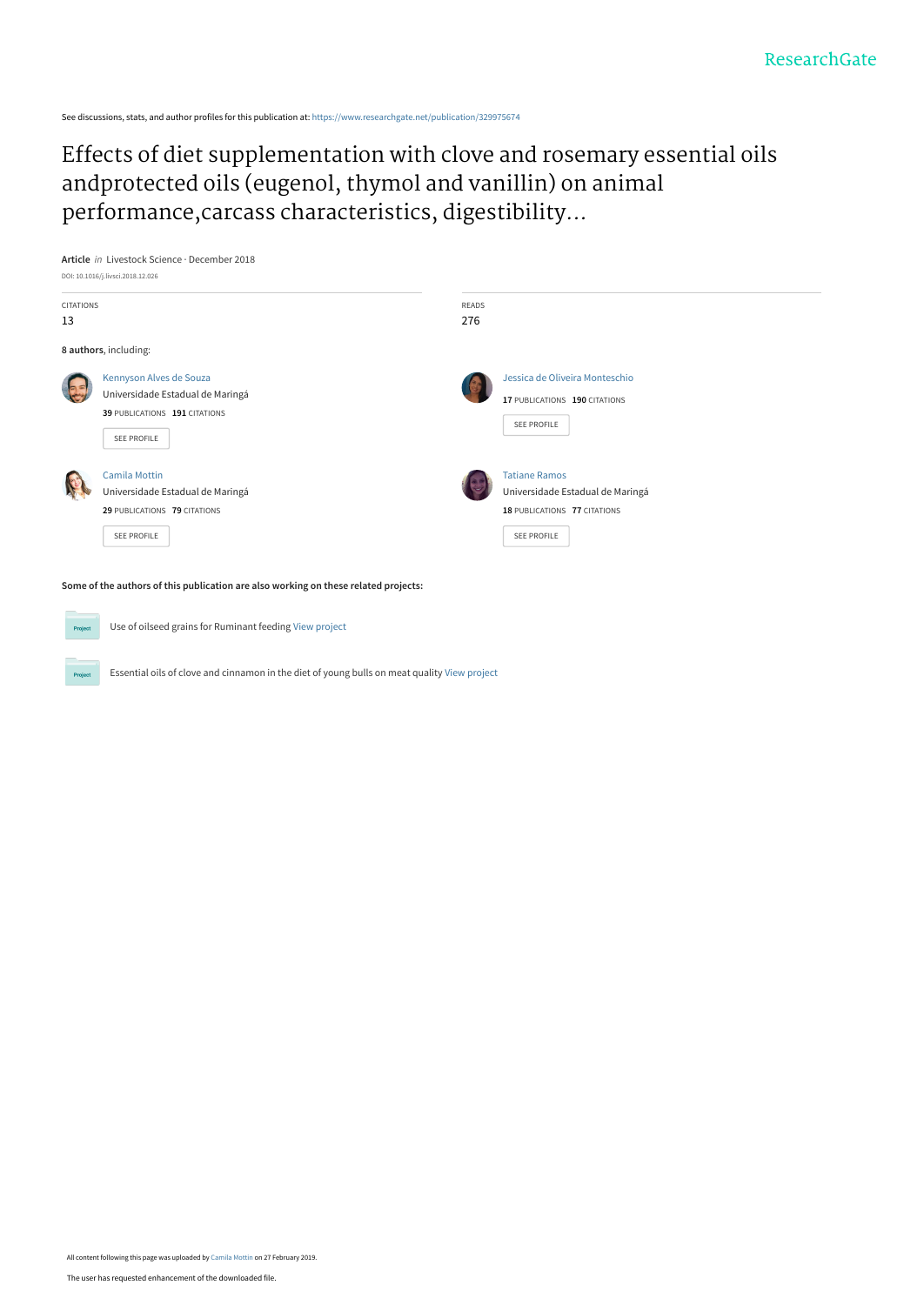See discussions, stats, and author profiles for this publication at: [https://www.researchgate.net/publication/329975674](https://www.researchgate.net/publication/329975674_Effects_of_diet_supplementation_with_clove_and_rosemary_essential_oils_andprotected_oils_eugenol_thymol_and_vanillin_on_animal_performancecarcass_characteristics_digestibility_and_ingestive_behavior_a?enrichId=rgreq-de1f127561b6a1abee0488170936fd77-XXX&enrichSource=Y292ZXJQYWdlOzMyOTk3NTY3NDtBUzo3MzA4ODczNzMxOTczMTNAMTU1MTI2ODUzNzI1Ng%3D%3D&el=1_x_2&_esc=publicationCoverPdf)

# [Effects of diet supplementation with clove and rosemary essential oils](https://www.researchgate.net/publication/329975674_Effects_of_diet_supplementation_with_clove_and_rosemary_essential_oils_andprotected_oils_eugenol_thymol_and_vanillin_on_animal_performancecarcass_characteristics_digestibility_and_ingestive_behavior_a?enrichId=rgreq-de1f127561b6a1abee0488170936fd77-XXX&enrichSource=Y292ZXJQYWdlOzMyOTk3NTY3NDtBUzo3MzA4ODczNzMxOTczMTNAMTU1MTI2ODUzNzI1Ng%3D%3D&el=1_x_3&_esc=publicationCoverPdf) andprotected oils (eugenol, thymol and vanillin) on animal performance,carcass characteristics, digestibility...



| CITATIONS<br>13 |                                                                                                                | READS<br>276                                                                                                   |  |
|-----------------|----------------------------------------------------------------------------------------------------------------|----------------------------------------------------------------------------------------------------------------|--|
|                 | 8 authors, including:                                                                                          |                                                                                                                |  |
|                 | Kennyson Alves de Souza<br>Universidade Estadual de Maringá<br>39 PUBLICATIONS 191 CITATIONS<br>SEE PROFILE    | Jessica de Oliveira Monteschio<br>17 PUBLICATIONS 190 CITATIONS<br>SEE PROFILE                                 |  |
|                 | <b>Camila Mottin</b><br>Universidade Estadual de Maringá<br>29 PUBLICATIONS 79 CITATIONS<br><b>SEE PROFILE</b> | <b>Tatiane Ramos</b><br>Universidade Estadual de Maringá<br>18 PUBLICATIONS 77 CITATIONS<br><b>SEE PROFILE</b> |  |

**Some of the authors of this publication are also working on these related projects:**



Use of oilseed grains for Ruminant feeding [View project](https://www.researchgate.net/project/Use-of-oilseed-grains-for-Ruminant-feeding?enrichId=rgreq-de1f127561b6a1abee0488170936fd77-XXX&enrichSource=Y292ZXJQYWdlOzMyOTk3NTY3NDtBUzo3MzA4ODczNzMxOTczMTNAMTU1MTI2ODUzNzI1Ng%3D%3D&el=1_x_9&_esc=publicationCoverPdf)

Essential oils of clove and cinnamon in the diet of young bulls on meat quality [View project](https://www.researchgate.net/project/Essential-oils-of-clove-and-cinnamon-in-the-diet-of-young-bulls-on-meat-quality?enrichId=rgreq-de1f127561b6a1abee0488170936fd77-XXX&enrichSource=Y292ZXJQYWdlOzMyOTk3NTY3NDtBUzo3MzA4ODczNzMxOTczMTNAMTU1MTI2ODUzNzI1Ng%3D%3D&el=1_x_9&_esc=publicationCoverPdf)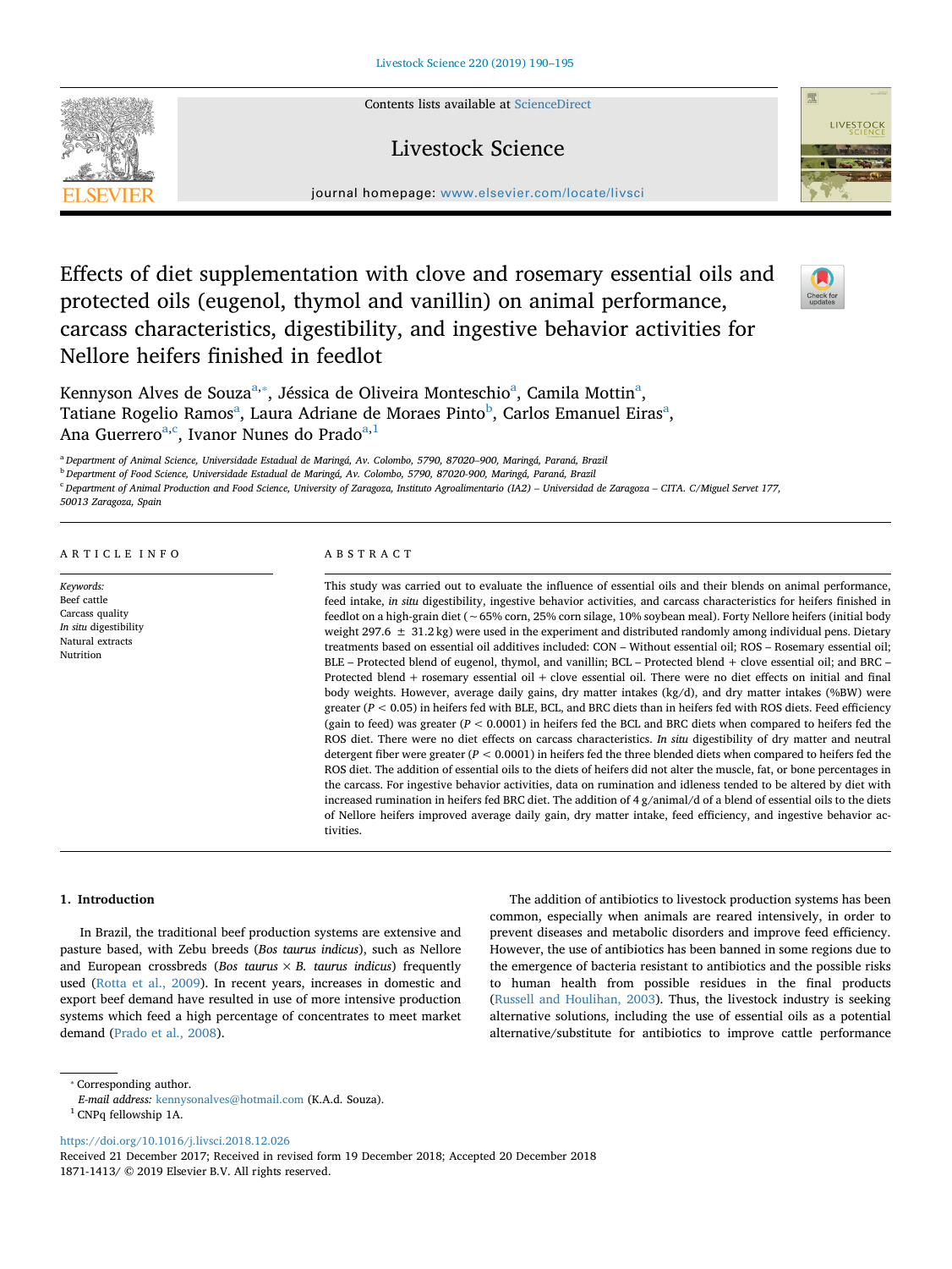Contents lists available at [ScienceDirect](http://www.sciencedirect.com/science/journal/18711413)



journal homepage: [www.elsevier.com/locate/livsci](https://www.elsevier.com/locate/livsci)

Livestock Science

## Effects of diet supplementation with clove and rosemary essential oils and protected oils (eugenol, thymol and vanillin) on animal performance, carcass characteristics, digestibility, and ingestive behavior activities for Nellore heifers finished in feedlot



Kennyson Alves de Souza<sup>a,</sup>\*, Jéssica de Oliveira Monteschio<sup>a</sup>, Camila Mottin<sup>a</sup>, Tatiane Rogelio Ramos<sup>a</sup>, Laura Adriane de Moraes Pinto<sup>[b](#page-1-2)</sup>, C[a](#page-1-0)rlos Emanuel Eiras<sup>a</sup>, An[a](#page-1-0) Guerrero<sup>a,[c](#page-1-3)</sup>, Ivanor Nunes do Prado<sup>[a,](#page-1-0)[1](#page-1-4)</sup>

<span id="page-1-0"></span><sup>a</sup> *Department of Animal Science, Universidade Estadual de Maringá, Av. Colombo, 5790, 87020–900, Maringá, Paraná, Brazil*

<span id="page-1-2"></span><sup>b</sup> *Department of Food Science, Universidade Estadual de Maringá, Av. Colombo, 5790, 87020-900, Maringá, Paraná, Brazil*

<span id="page-1-3"></span><sup>c</sup> *Department of Animal Production and Food Science, University of Zaragoza, Instituto Agroalimentario (IA2) – Universidad de Zaragoza – CITA. C/Miguel Servet 177,*

*50013 Zaragoza, Spain*

#### ARTICLE INFO

*Keywords:* Beef cattle Carcass quality *In situ* digestibility Natural extracts Nutrition

#### ABSTRACT

This study was carried out to evaluate the influence of essential oils and their blends on animal performance, feed intake, *in situ* digestibility, ingestive behavior activities, and carcass characteristics for heifers finished in feedlot on a high-grain diet (∼65% corn, 25% corn silage, 10% soybean meal). Forty Nellore heifers (initial body weight 297.6  $\pm$  31.2 kg) were used in the experiment and distributed randomly among individual pens. Dietary treatments based on essential oil additives included: CON – Without essential oil; ROS – Rosemary essential oil; BLE – Protected blend of eugenol, thymol, and vanillin; BCL – Protected blend + clove essential oil; and BRC – Protected blend + rosemary essential oil + clove essential oil. There were no diet effects on initial and final body weights. However, average daily gains, dry matter intakes (kg/d), and dry matter intakes (%BW) were greater (*P* < 0.05) in heifers fed with BLE, BCL, and BRC diets than in heifers fed with ROS diets. Feed efficiency (gain to feed) was greater (*P* < 0.0001) in heifers fed the BCL and BRC diets when compared to heifers fed the ROS diet. There were no diet effects on carcass characteristics. *In situ* digestibility of dry matter and neutral detergent fiber were greater (*P* < 0.0001) in heifers fed the three blended diets when compared to heifers fed the ROS diet. The addition of essential oils to the diets of heifers did not alter the muscle, fat, or bone percentages in the carcass. For ingestive behavior activities, data on rumination and idleness tended to be altered by diet with increased rumination in heifers fed BRC diet. The addition of  $4 g/$ animal/d of a blend of essential oils to the diets of Nellore heifers improved average daily gain, dry matter intake, feed efficiency, and ingestive behavior activities.

#### **1. Introduction**

In Brazil, the traditional beef production systems are extensive and pasture based, with Zebu breeds (*Bos taurus indicus*), such as Nellore and European crossbreds (*Bos taurus*  $\times$  *B. taurus indicus*) frequently used [\(Rotta et al., 2009](#page-6-0)). In recent years, increases in domestic and export beef demand have resulted in use of more intensive production systems which feed a high percentage of concentrates to meet market demand [\(Prado et al., 2008\)](#page-6-1).

The addition of antibiotics to livestock production systems has been common, especially when animals are reared intensively, in order to prevent diseases and metabolic disorders and improve feed efficiency. However, the use of antibiotics has been banned in some regions due to the emergence of bacteria resistant to antibiotics and the possible risks to human health from possible residues in the final products ([Russell and Houlihan, 2003](#page-6-2)). Thus, the livestock industry is seeking alternative solutions, including the use of essential oils as a potential alternative/substitute for antibiotics to improve cattle performance

<span id="page-1-1"></span>⁎ Corresponding author.

<span id="page-1-4"></span> $^{\rm 1}$  CNPq fellowship 1A.

<https://doi.org/10.1016/j.livsci.2018.12.026>

*E-mail address:* [kennysonalves@hotmail.com](mailto:kennysonalves@hotmail.com) (K.A.d. Souza).

Received 21 December 2017; Received in revised form 19 December 2018; Accepted 20 December 2018 1871-1413/ © 2019 Elsevier B.V. All rights reserved.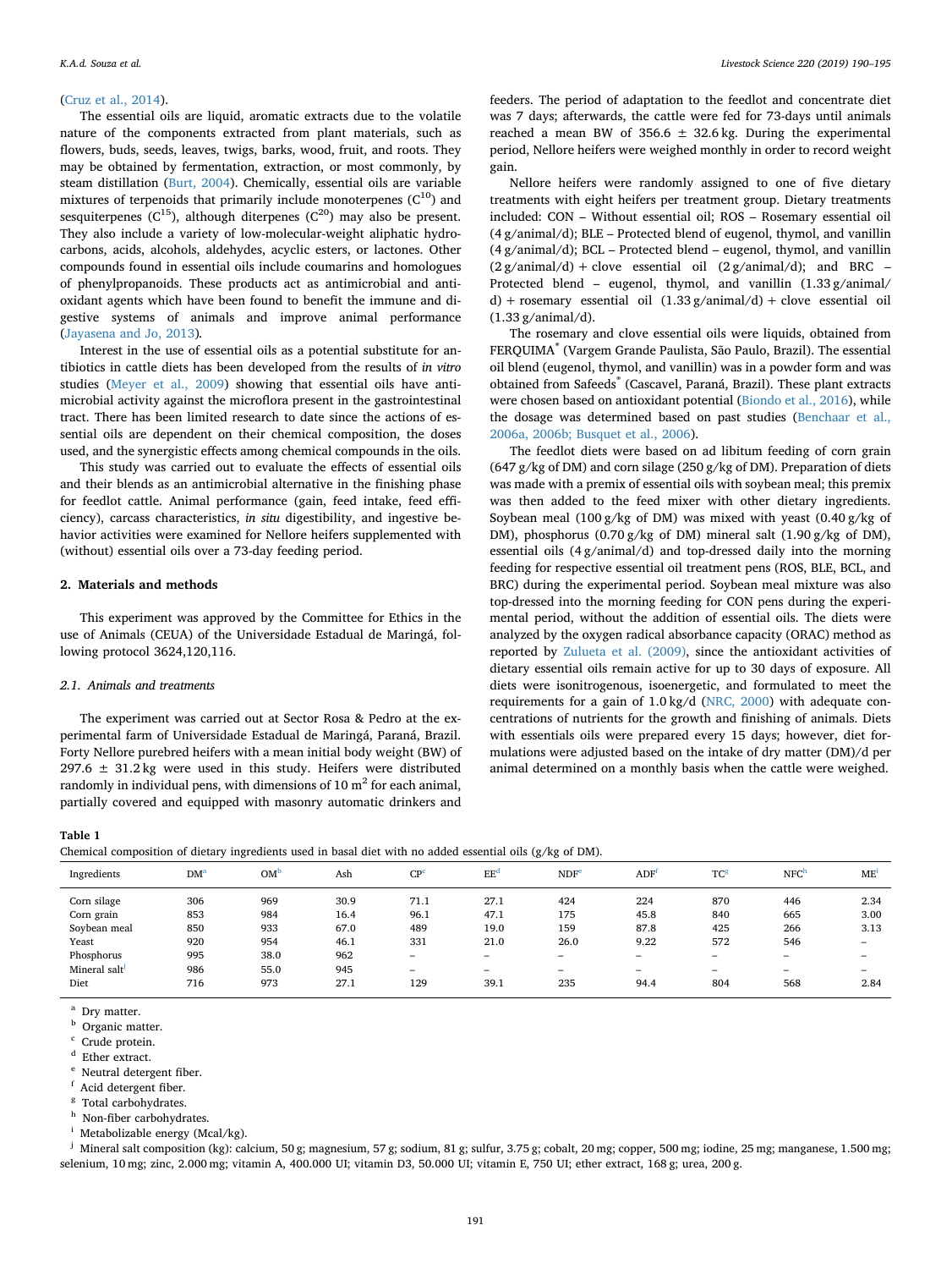#### ([Cruz et al., 2014](#page-6-3)).

The essential oils are liquid, aromatic extracts due to the volatile nature of the components extracted from plant materials, such as flowers, buds, seeds, leaves, twigs, barks, wood, fruit, and roots. They may be obtained by fermentation, extraction, or most commonly, by steam distillation [\(Burt, 2004\)](#page-6-4). Chemically, essential oils are variable mixtures of terpenoids that primarily include monoterpenes  $(C^{10})$  and sesquiterpenes  $(C^{15})$ , although diterpenes  $(C^{20})$  may also be present. They also include a variety of low-molecular-weight aliphatic hydrocarbons, acids, alcohols, aldehydes, acyclic esters, or lactones. Other compounds found in essential oils include coumarins and homologues of phenylpropanoids. These products act as antimicrobial and antioxidant agents which have been found to benefit the immune and digestive systems of animals and improve animal performance ([Jayasena and Jo, 2013\)](#page-6-5)*.*

Interest in the use of essential oils as a potential substitute for antibiotics in cattle diets has been developed from the results of *in vitro* studies [\(Meyer et al., 2009](#page-6-6)) showing that essential oils have antimicrobial activity against the microflora present in the gastrointestinal tract. There has been limited research to date since the actions of essential oils are dependent on their chemical composition, the doses used, and the synergistic effects among chemical compounds in the oils.

This study was carried out to evaluate the effects of essential oils and their blends as an antimicrobial alternative in the finishing phase for feedlot cattle. Animal performance (gain, feed intake, feed efficiency), carcass characteristics, *in situ* digestibility, and ingestive behavior activities were examined for Nellore heifers supplemented with (without) essential oils over a 73-day feeding period.

### **2. Materials and methods**

This experiment was approved by the Committee for Ethics in the use of Animals (CEUA) of the Universidade Estadual de Maringá, following protocol 3624,120,116.

#### *2.1. Animals and treatments*

The experiment was carried out at Sector Rosa & Pedro at the experimental farm of Universidade Estadual de Maringá, Paraná, Brazil. Forty Nellore purebred heifers with a mean initial body weight (BW) of 297.6  $\pm$  31.2 kg were used in this study. Heifers were distributed randomly in individual pens, with dimensions of  $10 \text{ m}^2$  for each animal, partially covered and equipped with masonry automatic drinkers and

feeders. The period of adaptation to the feedlot and concentrate diet was 7 days; afterwards, the cattle were fed for 73-days until animals reached a mean BW of  $356.6 \pm 32.6$  kg. During the experimental period, Nellore heifers were weighed monthly in order to record weight gain.

Nellore heifers were randomly assigned to one of five dietary treatments with eight heifers per treatment group. Dietary treatments included: CON – Without essential oil; ROS – Rosemary essential oil (4 g/animal/d); BLE – Protected blend of eugenol, thymol, and vanillin  $(4 \text{ g/animal/d})$ ; BCL – Protected blend – eugenol, thymol, and vanillin  $(2 \frac{g}{\text{animal}}/d) + \text{close}$  essential oil  $(2 \frac{g}{\text{animal}}/d)$ ; and BRC – Protected blend – eugenol, thymol, and vanillin  $(1.33 \text{ g}/\text{animal}/$ d) + rosemary essential oil  $(1.33 \text{ g/animal/d})$  + clove essential oil (1.33 g/animal/d).

The rosemary and clove essential oils were liquids, obtained from FERQUIMA® (Vargem Grande Paulista, São Paulo, Brazil). The essential oil blend (eugenol, thymol, and vanillin) was in a powder form and was obtained from Safeeds® (Cascavel, Paraná, Brazil). These plant extracts were chosen based on antioxidant potential [\(Biondo et al., 2016\)](#page-6-7), while the dosage was determined based on past studies [\(Benchaar et al.,](#page-5-0) [2006a, 2006b; Busquet et al., 2006](#page-5-0)).

The feedlot diets were based on ad libitum feeding of corn grain (647 g/kg of DM) and corn silage (250 g/kg of DM). Preparation of diets was made with a premix of essential oils with soybean meal; this premix was then added to the feed mixer with other dietary ingredients. Soybean meal (100 g/kg of DM) was mixed with yeast (0.40 g/kg of DM), phosphorus (0.70 g/kg of DM) mineral salt (1.90 g/kg of DM), essential oils (4 g/animal/d) and top-dressed daily into the morning feeding for respective essential oil treatment pens (ROS, BLE, BCL, and BRC) during the experimental period. Soybean meal mixture was also top-dressed into the morning feeding for CON pens during the experimental period, without the addition of essential oils. The diets were analyzed by the oxygen radical absorbance capacity (ORAC) method as reported by [Zulueta et al. \(2009\)](#page-6-8), since the antioxidant activities of dietary essential oils remain active for up to 30 days of exposure. All diets were isonitrogenous, isoenergetic, and formulated to meet the requirements for a gain of 1.0 kg/d [\(NRC, 2000](#page-6-9)) with adequate concentrations of nutrients for the growth and finishing of animals. Diets with essentials oils were prepared every 15 days; however, diet formulations were adjusted based on the intake of dry matter (DM)/d per animal determined on a monthly basis when the cattle were weighed.

#### <span id="page-2-10"></span>**Table 1**

| Ingredients  | DM <sup>2</sup> | OM   | Ash  | CP <sup>c</sup> | EE <sup>c</sup>          | NDF <sup>6</sup> | <b>ADF</b>               | TC <sup>8</sup>          | NFC <sup>F</sup>         | ME'  |
|--------------|-----------------|------|------|-----------------|--------------------------|------------------|--------------------------|--------------------------|--------------------------|------|
| Corn silage  | 306             | 969  | 30.9 | 71.1            | 27.1                     | 424              | 224                      | 870                      | 446                      | 2.34 |
| Corn grain   | 853             | 984  | 16.4 | 96.1            | 47.1                     | 175              | 45.8                     | 840                      | 665                      | 3.00 |
| Soybean meal | 850             | 933  | 67.0 | 489             | 19.0                     | 159              | 87.8                     | 425                      | 266                      | 3.13 |
| Yeast        | 920             | 954  | 46.1 | 331             | 21.0                     | 26.0             | 9.22                     | 572                      | 546                      | -    |
| Phosphorus   | 995             | 38.0 | 962  | -               | $\overline{\phantom{a}}$ | -                | $\overline{\phantom{a}}$ | -                        | -                        | -    |
| Mineral salt | 986             | 55.0 | 945  | -               | $\overline{\phantom{a}}$ | -                | -                        | $\overline{\phantom{a}}$ | $\overline{\phantom{a}}$ | -    |
| Diet         | 716             | 973  | 27.1 | 129             | 39.1                     | 235              | 94.4                     | 804                      | 568                      | 2.84 |

<span id="page-2-0"></span>Dry matter.

<span id="page-2-1"></span>Organic matter.

<span id="page-2-2"></span>Crude protein.

<span id="page-2-3"></span><sup>d</sup> Ether extract.

<span id="page-2-4"></span>Neutral detergent fiber.

<span id="page-2-5"></span>Acid detergent fiber.

<span id="page-2-6"></span><sup>8</sup> Total carbohydrates.

<span id="page-2-7"></span>Non-fiber carbohydrates.

<span id="page-2-8"></span>Metabolizable energy (Mcal/kg).

<span id="page-2-9"></span><sup>j</sup> Mineral salt composition (kg): calcium, 50 g; magnesium, 57 g; sodium, 81 g; sulfur, 3.75 g; cobalt, 20 mg; copper, 500 mg; iodine, 25 mg; manganese, 1.500 mg; selenium, 10 mg; zinc, 2.000 mg; vitamin A, 400.000 UI; vitamin D3, 50.000 UI; vitamin E, 750 UI; ether extract, 168 g; urea, 200 g.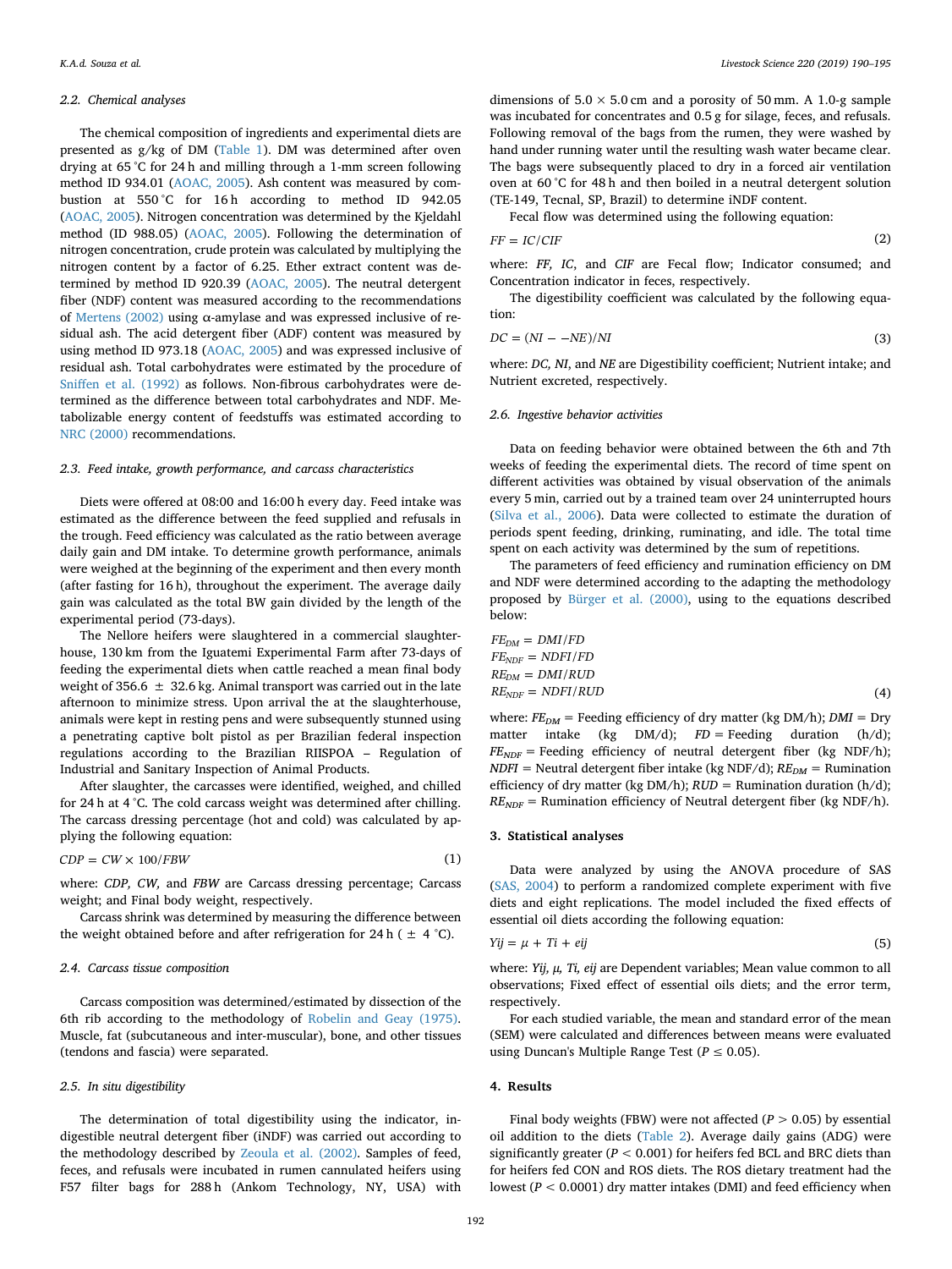#### *2.2. Chemical analyses*

The chemical composition of ingredients and experimental diets are presented as g/kg of DM [\(Table 1\)](#page-2-10). DM was determined after oven drying at 65 °C for 24 h and milling through a 1-mm screen following method ID 934.01 ([AOAC, 2005](#page-5-1)). Ash content was measured by combustion at 550 °C for 16 h according to method ID 942.05 ([AOAC, 2005\)](#page-5-1). Nitrogen concentration was determined by the Kjeldahl method (ID 988.05) [\(AOAC, 2005](#page-5-1)). Following the determination of nitrogen concentration, crude protein was calculated by multiplying the nitrogen content by a factor of 6.25. Ether extract content was determined by method ID 920.39 ([AOAC, 2005\)](#page-5-1). The neutral detergent fiber (NDF) content was measured according to the recommendations of [Mertens \(2002\)](#page-6-10) using α-amylase and was expressed inclusive of residual ash. The acid detergent fiber (ADF) content was measured by using method ID 973.18 [\(AOAC, 2005\)](#page-5-1) and was expressed inclusive of residual ash. Total carbohydrates were estimated by the procedure of [Sniffen et al. \(1992\)](#page-6-11) as follows. Non-fibrous carbohydrates were determined as the difference between total carbohydrates and NDF. Metabolizable energy content of feedstuffs was estimated according to [NRC \(2000\)](#page-6-9) recommendations.

#### *2.3. Feed intake, growth performance, and carcass characteristics*

Diets were offered at 08:00 and 16:00 h every day. Feed intake was estimated as the difference between the feed supplied and refusals in the trough. Feed efficiency was calculated as the ratio between average daily gain and DM intake. To determine growth performance, animals were weighed at the beginning of the experiment and then every month (after fasting for 16 h), throughout the experiment. The average daily gain was calculated as the total BW gain divided by the length of the experimental period (73-days).

The Nellore heifers were slaughtered in a commercial slaughterhouse, 130 km from the Iguatemi Experimental Farm after 73-days of feeding the experimental diets when cattle reached a mean final body weight of 356.6  $\pm$  32.6 kg. Animal transport was carried out in the late afternoon to minimize stress. Upon arrival the at the slaughterhouse, animals were kept in resting pens and were subsequently stunned using a penetrating captive bolt pistol as per Brazilian federal inspection regulations according to the Brazilian RIISPOA – Regulation of Industrial and Sanitary Inspection of Animal Products.

After slaughter, the carcasses were identified, weighed, and chilled for 24 h at 4 °C. The cold carcass weight was determined after chilling. The carcass dressing percentage (hot and cold) was calculated by applying the following equation:

$$
CDP = CW \times 100 / FBW \tag{1}
$$

where: *CDP, CW,* and *FBW* are Carcass dressing percentage; Carcass weight; and Final body weight, respectively.

Carcass shrink was determined by measuring the difference between the weight obtained before and after refrigeration for 24 h ( $\pm$  4 °C).

#### *2.4. Carcass tissue composition*

Carcass composition was determined/estimated by dissection of the 6th rib according to the methodology of [Robelin and Geay \(1975\)](#page-6-12). Muscle, fat (subcutaneous and inter-muscular), bone, and other tissues (tendons and fascia) were separated.

#### *2.5. In situ digestibility*

The determination of total digestibility using the indicator, indigestible neutral detergent fiber (iNDF) was carried out according to the methodology described by [Zeoula et al. \(2002\).](#page-6-13) Samples of feed, feces, and refusals were incubated in rumen cannulated heifers using F57 filter bags for 288 h (Ankom Technology, NY, USA) with

dimensions of  $5.0 \times 5.0$  cm and a porosity of 50 mm. A 1.0-g sample was incubated for concentrates and 0.5 g for silage, feces, and refusals. Following removal of the bags from the rumen, they were washed by hand under running water until the resulting wash water became clear. The bags were subsequently placed to dry in a forced air ventilation oven at 60 °C for 48 h and then boiled in a neutral detergent solution (TE-149, Tecnal, SP, Brazil) to determine iNDF content.

Fecal flow was determined using the following equation:

$$
FF = IC/CIF \tag{2}
$$

where: *FF, IC*, and *CIF* are Fecal flow; Indicator consumed; and Concentration indicator in feces, respectively.

The digestibility coefficient was calculated by the following equation:

$$
DC = (NI - -NE)/NI
$$
\n(3)

where: *DC, NI*, and *NE* are Digestibility coefficient; Nutrient intake; and Nutrient excreted, respectively.

#### *2.6. Ingestive behavior activities*

Data on feeding behavior were obtained between the 6th and 7th weeks of feeding the experimental diets. The record of time spent on different activities was obtained by visual observation of the animals every 5 min, carried out by a trained team over 24 uninterrupted hours ([Silva et al., 2006](#page-6-14)). Data were collected to estimate the duration of periods spent feeding, drinking, ruminating, and idle. The total time spent on each activity was determined by the sum of repetitions.

The parameters of feed efficiency and rumination efficiency on DM and NDF were determined according to the adapting the methodology proposed by [Bürger et al. \(2000\),](#page-6-15) using to the equations described below:

$$
FE_{DM} = DMI/FD
$$
  
\n
$$
FE_{NDF} = NDFI/FD
$$
  
\n
$$
RE_{DM} = DMI/RUD
$$
  
\n
$$
RE_{NDF} = NDFI/RUD
$$
\n(4)

where:  $FE_{DM}$  = Feeding efficiency of dry matter (kg DM/h);  $DMI$  = Dry matter intake (kg DM/d);  $FD$  = Feeding duration (h/d);  $FE<sub>NDF</sub>$  = Feeding efficiency of neutral detergent fiber (kg NDF/h);  $NDFI = Neutral$  detergent fiber intake (kg NDF/d);  $RE_{DM} =$  Rumination efficiency of dry matter (kg DM/h);  $RUD =$  Rumination duration (h/d);  $RE<sub>NDF</sub>$  = Rumination efficiency of Neutral detergent fiber (kg NDF/h).

#### **3. Statistical analyses**

Data were analyzed by using the ANOVA procedure of SAS ([SAS, 2004\)](#page-6-16) to perform a randomized complete experiment with five diets and eight replications. The model included the fixed effects of essential oil diets according the following equation:

$$
Yij = \mu + Ti + ejj \tag{5}
$$

where: *Yij, μ, Ti, eij* are Dependent variables; Mean value common to all observations; Fixed effect of essential oils diets; and the error term, respectively.

For each studied variable, the mean and standard error of the mean (SEM) were calculated and differences between means were evaluated using Duncan's Multiple Range Test ( $P \leq 0.05$ ).

#### **4. Results**

Final body weights (FBW) were not affected  $(P > 0.05)$  by essential oil addition to the diets ([Table 2\)](#page-4-0). Average daily gains (ADG) were significantly greater (*P* < 0.001) for heifers fed BCL and BRC diets than for heifers fed CON and ROS diets. The ROS dietary treatment had the lowest (*P* < 0.0001) dry matter intakes (DMI) and feed efficiency when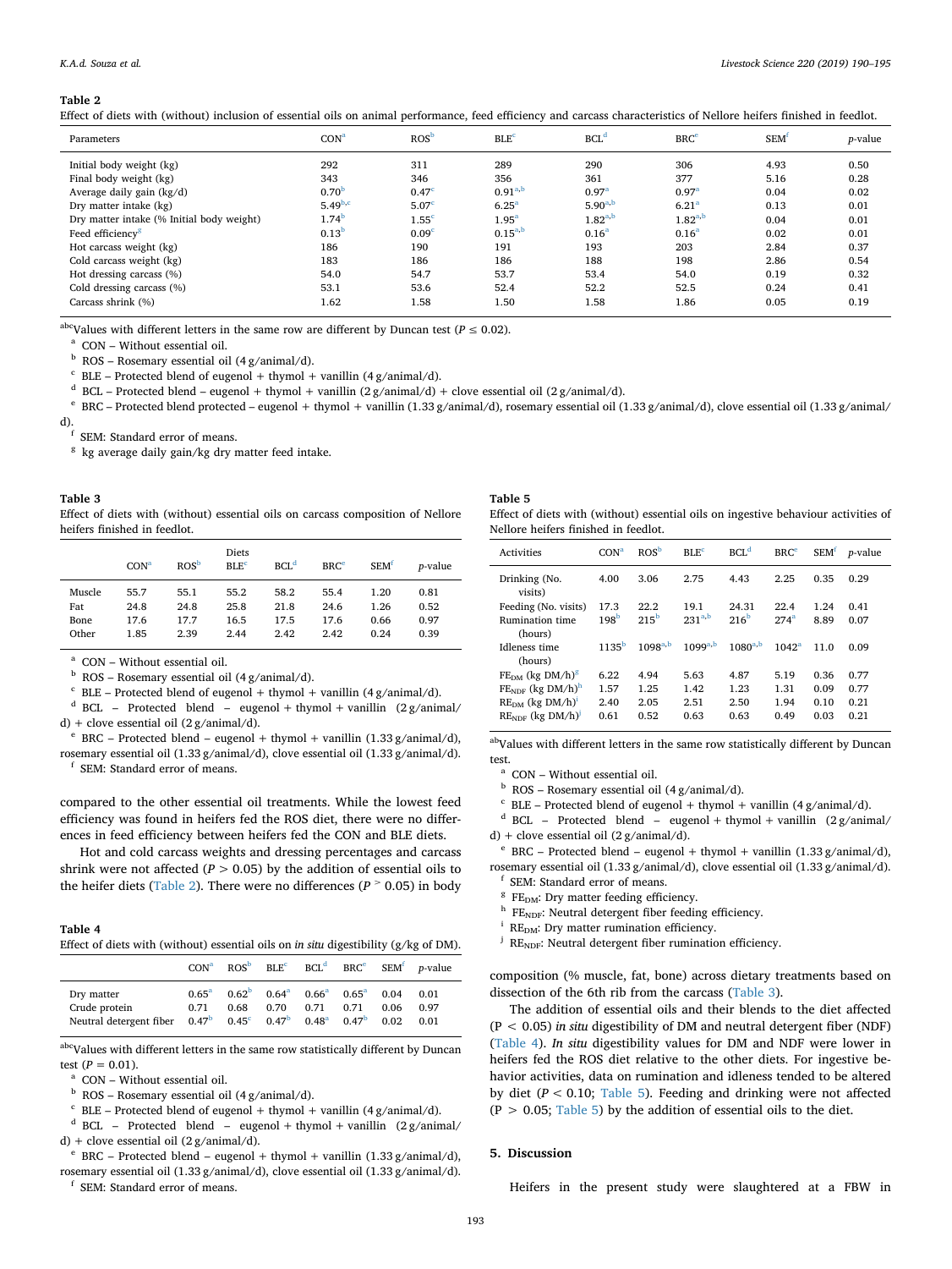#### <span id="page-4-0"></span>**Table 2**

Effect of diets with (without) inclusion of essential oils on animal performance, feed efficiency and carcass characteristics of Nellore heifers finished in feedlot.

| Parameters                                | CON <sup>a</sup>  | ROS <sup>b</sup>  | $BLE^c$           | BCL <sup>d</sup>  | BRC <sup>e</sup>  | <b>SEM<sup>f</sup></b> | <i>p</i> -value |
|-------------------------------------------|-------------------|-------------------|-------------------|-------------------|-------------------|------------------------|-----------------|
| Initial body weight (kg)                  | 292               | 311               | 289               | 290               | 306               | 4.93                   | 0.50            |
| Final body weight (kg)                    | 343               | 346               | 356               | 361               | 377               | 5.16                   | 0.28            |
| Average daily gain $(kg/d)$               | 0.70 <sup>b</sup> | 0.47 <sup>c</sup> | $0.91^{a,b}$      | 0.97 <sup>a</sup> | 0.97 <sup>a</sup> | 0.04                   | 0.02            |
| Dry matter intake (kg)                    | $5.49^{b,c}$      | 5.07 <sup>c</sup> | 6.25 <sup>a</sup> | $5.90^{a,b}$      | 6.21 <sup>a</sup> | 0.13                   | 0.01            |
| Dry matter intake (% Initial body weight) | 1.74 <sup>b</sup> | 1.55 <sup>c</sup> | 1.95 <sup>a</sup> | $1.82^{a,b}$      | $1.82^{a,b}$      | 0.04                   | 0.01            |
| Feed efficiency <sup>8</sup>              | 0.13 <sup>b</sup> | 0.09 <sup>c</sup> | $0.15^{a,b}$      | 0.16 <sup>a</sup> | 0.16 <sup>a</sup> | 0.02                   | 0.01            |
| Hot carcass weight (kg)                   | 186               | 190               | 191               | 193               | 203               | 2.84                   | 0.37            |
| Cold carcass weight (kg)                  | 183               | 186               | 186               | 188               | 198               | 2.86                   | 0.54            |
| Hot dressing carcass (%)                  | 54.0              | 54.7              | 53.7              | 53.4              | 54.0              | 0.19                   | 0.32            |
| Cold dressing carcass (%)                 | 53.1              | 53.6              | 52.4              | 52.2              | 52.5              | 0.24                   | 0.41            |
| Carcass shrink (%)                        | 1.62              | 1.58              | 1.50              | 1.58              | 1.86              | 0.05                   | 0.19            |

abcValues with different letters in the same row are different by Duncan test ( $P \le 0.02$ ).

<span id="page-4-4"></span><sup>a</sup> CON – Without essential oil.

<span id="page-4-5"></span> $<sup>b</sup>$  ROS – Rosemary essential oil (4 g/animal/d).</sup>

<span id="page-4-6"></span> $c$  BLE – Protected blend of eugenol + thymol + vanillin (4 g/animal/d).

<span id="page-4-7"></span><sup>d</sup> BCL – Protected blend – eugenol + thymol + vanillin (2 g/animal/d) + clove essential oil (2 g/animal/d).

<span id="page-4-8"></span><sup>e</sup> BRC – Protected blend protected – eugenol + thymol + vanillin (1.33 g/animal/d), rosemary essential oil (1.33 g/animal/d), clove essential oil (1.33 g/animal/ d).<br><sup>f</sup> SEM: Standard error of means.

<span id="page-4-9"></span>

<span id="page-4-10"></span> $8$  kg average daily gain/kg dry matter feed intake.

#### <span id="page-4-1"></span>**Table 3** Effect of diets with (without) essential oils on carcass composition of Nellore heifers finished in feedlot.

|        | CON <sup>a</sup> | ROS <sup>b</sup> | Diets<br>$BLE^c$ | BCL <sup>d</sup> | BRC <sup>e</sup> | SEM <sup>1</sup> | <i>p</i> -value |
|--------|------------------|------------------|------------------|------------------|------------------|------------------|-----------------|
| Muscle | 55.7             | 55.1             | 55.2             | 58.2             | 55.4             | 1.20             | 0.81            |
| Fat    | 24.8             | 24.8             | 25.8             | 21.8             | 24.6             | 1.26             | 0.52            |
| Bone   | 17.6             | 17.7             | 16.5             | 17.5             | 17.6             | 0.66             | 0.97            |
| Other  | 1.85             | 2.39             | 2.44             | 2.42             | 2.42             | 0.24             | 0.39            |

<span id="page-4-11"></span><sup>a</sup> CON – Without essential oil.

<span id="page-4-12"></span> $<sup>b</sup>$  ROS – Rosemary essential oil (4 g/animal/d).</sup>

<span id="page-4-13"></span> $c$  BLE – Protected blend of eugenol + thymol + vanillin (4 g/animal/d).

<span id="page-4-14"></span><sup>d</sup> BCL – Protected blend – eugenol + thymol + vanillin  $(2 g / \text{animal}/$ d) + clove essential oil  $(2 g/animal/d)$ .

<span id="page-4-15"></span>BRC – Protected blend – eugenol + thymol + vanillin  $(1.33 \text{ g/animal/d}),$ rosemary essential oil (1.33 g/animal/d), clove essential oil (1.33 g/animal/d).

<span id="page-4-16"></span><sup>f</sup> SEM: Standard error of means.

compared to the other essential oil treatments. While the lowest feed efficiency was found in heifers fed the ROS diet, there were no differences in feed efficiency between heifers fed the CON and BLE diets.

Hot and cold carcass weights and dressing percentages and carcass shrink were not affected ( $P > 0.05$ ) by the addition of essential oils to the heifer diets [\(Table 2\)](#page-4-0). There were no differences ( $P > 0.05$ ) in body

#### <span id="page-4-2"></span>**Table 4**

Effect of diets with (without) essential oils on *in situ* digestibility (g/kg of DM).

|                                                                                                    | CON <sup>a</sup>       | ROS <sup>b</sup> | $BLE^c$                |                           | $BCLd$ BRC <sup>e</sup>                                    |                      | $SEMf$ <i>p</i> -value |
|----------------------------------------------------------------------------------------------------|------------------------|------------------|------------------------|---------------------------|------------------------------------------------------------|----------------------|------------------------|
| Dry matter<br>Crude protein<br>Neutral detergent fiber $0.47b$ 0.45 <sup>c</sup> 0.47 <sup>b</sup> | $0.65^{\rm a}$<br>0.71 | $0.62^b$<br>0.68 | $0.64^{\rm a}$<br>0.70 | 0.71<br>0.48 <sup>a</sup> | $0.66^{\rm a}$ $0.65^{\rm a}$<br>0.71<br>0.47 <sup>b</sup> | 0.04<br>0.06<br>0.02 | 0.01<br>0.97<br>0.01   |

abc<sub>Values</sub> with different letters in the same row statistically different by Duncan test  $(P = 0.01)$ .

<span id="page-4-17"></span><sup>a</sup> CON – Without essential oil.

<span id="page-4-18"></span> $^{\rm b}$  ROS – Rosemary essential oil (4 g/animal/d).

<span id="page-4-19"></span> $c$  BLE – Protected blend of eugenol + thymol + vanillin (4 g/animal/d).

<span id="page-4-20"></span><sup>d</sup> BCL – Protected blend – eugenol + thymol + vanillin  $(2 g / \text{animal} / )$ d) + clove essential oil (2 g/animal/d).

<span id="page-4-21"></span><sup>e</sup> BRC – Protected blend – eugenol + thymol + vanillin (1.33 g/animal/d), rosemary essential oil (1.33 g/animal/d), clove essential oil (1.33 g/animal/d).

<span id="page-4-22"></span><sup>f</sup> SEM: Standard error of means.

### <span id="page-4-3"></span>**Table 5**

Effect of diets with (without) essential oils on ingestive behaviour activities of Nellore heifers finished in feedlot.

| <b>Activities</b>                 | CON <sup>a</sup> | ROS <sup>b</sup> | BI.F <sup>c</sup> | $BCL^d$          | BRC <sup>e</sup> | <b>SEM<sup>f</sup></b> | <i>p</i> -value |
|-----------------------------------|------------------|------------------|-------------------|------------------|------------------|------------------------|-----------------|
| Drinking (No.<br>visits)          | 4.00             | 3.06             | 2.75              | 4.43             | 2.25             | 0.35                   | 0.29            |
| Feeding (No. visits)              | 17.3             | 22.2             | 19.1              | 24.31            | 22.4             | 1.24                   | 0.41            |
| <b>Rumination time</b><br>(hours) | 198 <sup>b</sup> | $215^{\rm b}$    | $231^{a,b}$       | 216 <sup>b</sup> | $274^a$          | 8.89                   | 0.07            |
| Idleness time<br>(hours)          | $1135^b$         | $1098^{a,b}$     | $1099^{a,b}$      | $1080^{a,b}$     | $1042^a$         | 110                    | 0.09            |
| $FE_{DM}$ (kg DM/h) <sup>8</sup>  | 6.22             | 4.94             | 5.63              | 4.87             | 5.19             | 0.36                   | 0.77            |
| $FENDF$ (kg DM/h) <sup>h</sup>    | 1.57             | 1.25             | 1.42              | 1.23             | 1.31             | 0.09                   | 0.77            |
| $RE_{DM}$ (kg DM/h) <sup>1</sup>  | 2.40             | 2.05             | 2.51              | 2.50             | 1.94             | 0.10                   | 0.21            |
| $RENDF$ (kg DM/h) <sup>'</sup>    | 0.61             | 0.52             | 0.63              | 0.63             | 0.49             | 0.03                   | 0.21            |

abValues with different letters in the same row statistically different by Duncan test.

<span id="page-4-23"></span><sup>a</sup> CON – Without essential oil.

<span id="page-4-24"></span> $<sup>b</sup>$  ROS – Rosemary essential oil (4 g/animal/d).</sup>

<span id="page-4-25"></span> $c$  BLE – Protected blend of eugenol + thymol + vanillin (4 g/animal/d).

<span id="page-4-26"></span><sup>d</sup> BCL – Protected blend – eugenol + thymol + vanillin  $(2 g / \text{animal} / )$ d) + clove essential oil (2 g/animal/d).

<span id="page-4-27"></span> $e$  BRC – Protected blend – eugenol + thymol + vanillin (1.33 g/animal/d), rosemary essential oil (1.33 g/animal/d), clove essential oil (1.33 g/animal/d).

<span id="page-4-28"></span>SEM: Standard error of means.

<span id="page-4-30"></span><span id="page-4-29"></span>

 $\rm ^{8}$  FE<sub>NDF</sub>: Dry matter feeding efficiency. <br><sup>h</sup> FE<sub>NDF</sub>: Neutral detergent fiber feeding efficiency. <br><sup>j</sup> RE<sub>NDF</sub>: Neutral detergent fiber rumination efficiency.

<span id="page-4-31"></span>

<span id="page-4-32"></span>

composition (% muscle, fat, bone) across dietary treatments based on dissection of the 6th rib from the carcass ([Table 3](#page-4-1)).

The addition of essential oils and their blends to the diet affected (P < 0.05) *in situ* digestibility of DM and neutral detergent fiber (NDF) ([Table 4](#page-4-2)). *In situ* digestibility values for DM and NDF were lower in heifers fed the ROS diet relative to the other diets. For ingestive behavior activities, data on rumination and idleness tended to be altered by diet (*P* < 0.10; [Table 5\)](#page-4-3). Feeding and drinking were not affected  $(P > 0.05;$  [Table 5\)](#page-4-3) by the addition of essential oils to the diet.

#### **5. Discussion**

Heifers in the present study were slaughtered at a FBW in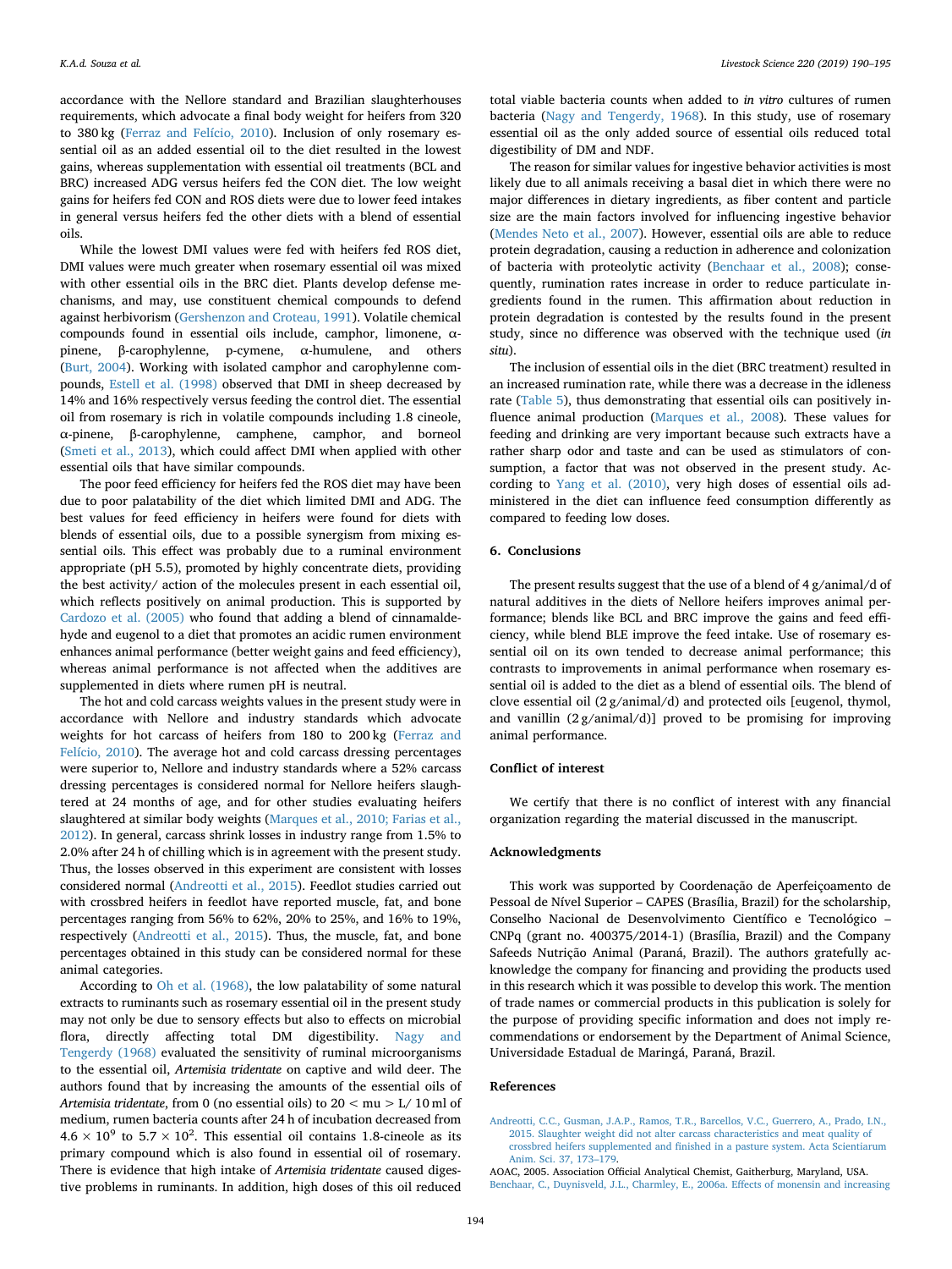accordance with the Nellore standard and Brazilian slaughterhouses requirements, which advocate a final body weight for heifers from 320 to 380 kg [\(Ferraz and Felício, 2010](#page-6-17)). Inclusion of only rosemary essential oil as an added essential oil to the diet resulted in the lowest gains, whereas supplementation with essential oil treatments (BCL and BRC) increased ADG versus heifers fed the CON diet. The low weight gains for heifers fed CON and ROS diets were due to lower feed intakes in general versus heifers fed the other diets with a blend of essential oils.

While the lowest DMI values were fed with heifers fed ROS diet, DMI values were much greater when rosemary essential oil was mixed with other essential oils in the BRC diet. Plants develop defense mechanisms, and may, use constituent chemical compounds to defend against herbivorism [\(Gershenzon and Croteau, 1991](#page-6-18)). Volatile chemical compounds found in essential oils include, camphor, limonene, αpinene, β-carophylenne, p-cymene, α-humulene, and others ([Burt, 2004](#page-6-4)). Working with isolated camphor and carophylenne compounds, [Estell et al. \(1998\)](#page-6-19) observed that DMI in sheep decreased by 14% and 16% respectively versus feeding the control diet. The essential oil from rosemary is rich in volatile compounds including 1.8 cineole, α-pinene, β-carophylenne, camphene, camphor, and borneol ([Smeti et al., 2013\)](#page-6-20), which could affect DMI when applied with other essential oils that have similar compounds.

The poor feed efficiency for heifers fed the ROS diet may have been due to poor palatability of the diet which limited DMI and ADG. The best values for feed efficiency in heifers were found for diets with blends of essential oils, due to a possible synergism from mixing essential oils. This effect was probably due to a ruminal environment appropriate (pH 5.5), promoted by highly concentrate diets, providing the best activity/ action of the molecules present in each essential oil, which reflects positively on animal production. This is supported by [Cardozo et al. \(2005\)](#page-6-21) who found that adding a blend of cinnamaldehyde and eugenol to a diet that promotes an acidic rumen environment enhances animal performance (better weight gains and feed efficiency), whereas animal performance is not affected when the additives are supplemented in diets where rumen pH is neutral.

The hot and cold carcass weights values in the present study were in accordance with Nellore and industry standards which advocate weights for hot carcass of heifers from 180 to 200 kg [\(Ferraz and](#page-6-17) [Felício, 2010](#page-6-17)). The average hot and cold carcass dressing percentages were superior to, Nellore and industry standards where a 52% carcass dressing percentages is considered normal for Nellore heifers slaughtered at 24 months of age, and for other studies evaluating heifers slaughtered at similar body weights ([Marques et al., 2010; Farias et al.,](#page-6-22) [2012\)](#page-6-22). In general, carcass shrink losses in industry range from 1.5% to 2.0% after 24 h of chilling which is in agreement with the present study. Thus, the losses observed in this experiment are consistent with losses considered normal [\(Andreotti et al., 2015](#page-5-2)). Feedlot studies carried out with crossbred heifers in feedlot have reported muscle, fat, and bone percentages ranging from 56% to 62%, 20% to 25%, and 16% to 19%, respectively ([Andreotti et al., 2015\)](#page-5-2). Thus, the muscle, fat, and bone percentages obtained in this study can be considered normal for these animal categories.

According to [Oh et al. \(1968\),](#page-6-23) the low palatability of some natural extracts to ruminants such as rosemary essential oil in the present study may not only be due to sensory effects but also to effects on microbial flora, directly affecting total DM digestibility. [Nagy and](#page-6-24) [Tengerdy \(1968\)](#page-6-24) evaluated the sensitivity of ruminal microorganisms to the essential oil, *Artemisia tridentate* on captive and wild deer. The authors found that by increasing the amounts of the essential oils of *Artemisia tridentate*, from 0 (no essential oils) to 20 < mu > L/ 10 ml of medium, rumen bacteria counts after 24 h of incubation decreased from  $4.6 \times 10^9$  to  $5.7 \times 10^2$ . This essential oil contains 1.8-cineole as its primary compound which is also found in essential oil of rosemary. There is evidence that high intake of *Artemisia tridentate* caused digestive problems in ruminants. In addition, high doses of this oil reduced

total viable bacteria counts when added to *in vitro* cultures of rumen bacteria ([Nagy and Tengerdy, 1968](#page-6-24)). In this study, use of rosemary essential oil as the only added source of essential oils reduced total digestibility of DM and NDF.

The reason for similar values for ingestive behavior activities is most likely due to all animals receiving a basal diet in which there were no major differences in dietary ingredients, as fiber content and particle size are the main factors involved for influencing ingestive behavior ([Mendes Neto et al., 2007\)](#page-6-25). However, essential oils are able to reduce protein degradation, causing a reduction in adherence and colonization of bacteria with proteolytic activity ([Benchaar et al., 2008](#page-6-26)); consequently, rumination rates increase in order to reduce particulate ingredients found in the rumen. This affirmation about reduction in protein degradation is contested by the results found in the present study, since no difference was observed with the technique used (*in situ*).

The inclusion of essential oils in the diet (BRC treatment) resulted in an increased rumination rate, while there was a decrease in the idleness rate [\(Table 5\)](#page-4-3), thus demonstrating that essential oils can positively influence animal production [\(Marques et al., 2008\)](#page-6-27)*.* These values for feeding and drinking are very important because such extracts have a rather sharp odor and taste and can be used as stimulators of consumption, a factor that was not observed in the present study. According to [Yang et al. \(2010\)](#page-6-28), very high doses of essential oils administered in the diet can influence feed consumption differently as compared to feeding low doses.

### **6. Conclusions**

The present results suggest that the use of a blend of 4 g/animal/d of natural additives in the diets of Nellore heifers improves animal performance; blends like BCL and BRC improve the gains and feed efficiency, while blend BLE improve the feed intake. Use of rosemary essential oil on its own tended to decrease animal performance; this contrasts to improvements in animal performance when rosemary essential oil is added to the diet as a blend of essential oils. The blend of clove essential oil (2 g/animal/d) and protected oils [eugenol, thymol, and vanillin  $(2 g / \text{animal}/d)$ ] proved to be promising for improving animal performance.

#### **Conflict of interest**

We certify that there is no conflict of interest with any financial organization regarding the material discussed in the manuscript.

### **Acknowledgments**

This work was supported by Coordenação de Aperfeiçoamento de Pessoal de Nível Superior – CAPES (Brasília, Brazil) for the scholarship, Conselho Nacional de Desenvolvimento Científico e Tecnológico – CNPq (grant no. 400375/2014-1) (Brasília, Brazil) and the Company Safeeds Nutrição Animal (Paraná, Brazil). The authors gratefully acknowledge the company for financing and providing the products used in this research which it was possible to develop this work. The mention of trade names or commercial products in this publication is solely for the purpose of providing specific information and does not imply recommendations or endorsement by the Department of Animal Science, Universidade Estadual de Maringá, Paraná, Brazil.

### **References**

<span id="page-5-2"></span>[Andreotti, C.C., Gusman, J.A.P., Ramos, T.R., Barcellos, V.C., Guerrero, A., Prado, I.N.,](http://refhub.elsevier.com/S1871-1413(18)30877-1/sbref0001) [2015. Slaughter weight did not alter carcass characteristics and meat quality of](http://refhub.elsevier.com/S1871-1413(18)30877-1/sbref0001) [crossbred heifers supplemented and finished in a pasture system. Acta Scientiarum](http://refhub.elsevier.com/S1871-1413(18)30877-1/sbref0001) [Anim. Sci. 37, 173–179.](http://refhub.elsevier.com/S1871-1413(18)30877-1/sbref0001)

<span id="page-5-1"></span><span id="page-5-0"></span>AOAC, 2005. Association Official Analytical Chemist, Gaitherburg, Maryland, USA. [Benchaar, C., Duynisveld, J.L., Charmley, E., 2006a. Effects of monensin and increasing](http://refhub.elsevier.com/S1871-1413(18)30877-1/sbref0002)